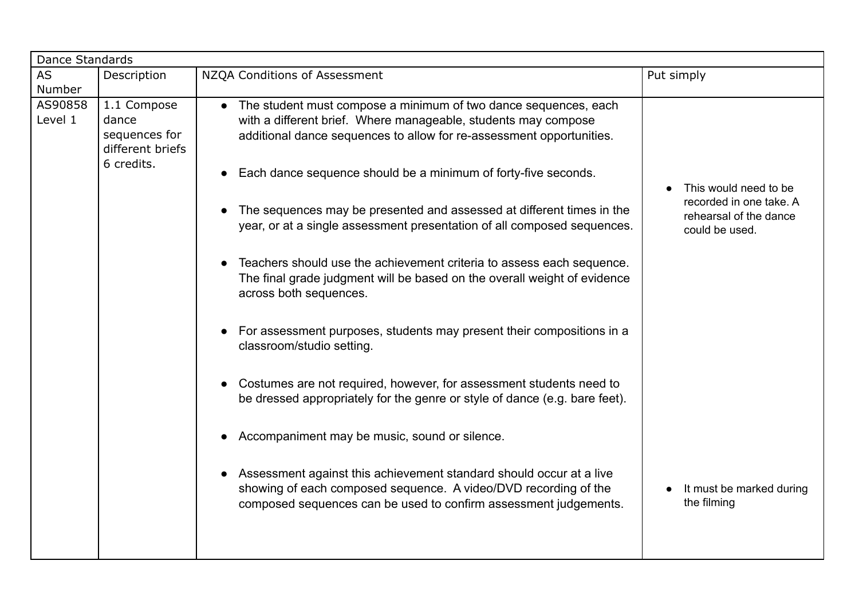| Dance Standards     |                                                                         |                                                                                                                                                                                                                        |                                                                            |  |
|---------------------|-------------------------------------------------------------------------|------------------------------------------------------------------------------------------------------------------------------------------------------------------------------------------------------------------------|----------------------------------------------------------------------------|--|
| <b>AS</b><br>Number | Description                                                             | NZQA Conditions of Assessment                                                                                                                                                                                          | Put simply                                                                 |  |
| AS90858<br>Level 1  | 1.1 Compose<br>dance<br>sequences for<br>different briefs<br>6 credits. | The student must compose a minimum of two dance sequences, each<br>$\bullet$<br>with a different brief. Where manageable, students may compose<br>additional dance sequences to allow for re-assessment opportunities. |                                                                            |  |
|                     |                                                                         | Each dance sequence should be a minimum of forty-five seconds.<br>The sequences may be presented and assessed at different times in the                                                                                | This would need to be<br>recorded in one take. A<br>rehearsal of the dance |  |
|                     |                                                                         | year, or at a single assessment presentation of all composed sequences.<br>Teachers should use the achievement criteria to assess each sequence.                                                                       | could be used.                                                             |  |
|                     |                                                                         | The final grade judgment will be based on the overall weight of evidence<br>across both sequences.                                                                                                                     |                                                                            |  |
|                     |                                                                         | For assessment purposes, students may present their compositions in a<br>classroom/studio setting.                                                                                                                     |                                                                            |  |
|                     |                                                                         | Costumes are not required, however, for assessment students need to<br>be dressed appropriately for the genre or style of dance (e.g. bare feet).                                                                      |                                                                            |  |
|                     |                                                                         | Accompaniment may be music, sound or silence.                                                                                                                                                                          |                                                                            |  |
|                     |                                                                         | Assessment against this achievement standard should occur at a live<br>showing of each composed sequence. A video/DVD recording of the<br>composed sequences can be used to confirm assessment judgements.             | It must be marked during<br>the filming                                    |  |
|                     |                                                                         |                                                                                                                                                                                                                        |                                                                            |  |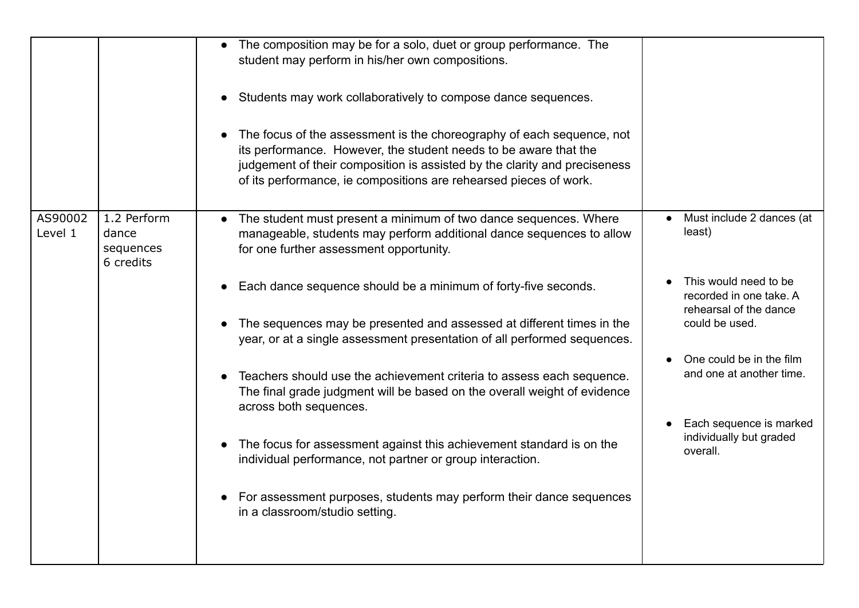|                    |                                                | The composition may be for a solo, duet or group performance. The<br>student may perform in his/her own compositions.<br>Students may work collaboratively to compose dance sequences.<br>The focus of the assessment is the choreography of each sequence, not<br>its performance. However, the student needs to be aware that the<br>judgement of their composition is assisted by the clarity and preciseness<br>of its performance, ie compositions are rehearsed pieces of work.                                                                                                                                                                                                                                                       |                                                                                                                                                                                                                                                                            |
|--------------------|------------------------------------------------|---------------------------------------------------------------------------------------------------------------------------------------------------------------------------------------------------------------------------------------------------------------------------------------------------------------------------------------------------------------------------------------------------------------------------------------------------------------------------------------------------------------------------------------------------------------------------------------------------------------------------------------------------------------------------------------------------------------------------------------------|----------------------------------------------------------------------------------------------------------------------------------------------------------------------------------------------------------------------------------------------------------------------------|
| AS90002<br>Level 1 | 1.2 Perform<br>dance<br>sequences<br>6 credits | The student must present a minimum of two dance sequences. Where<br>manageable, students may perform additional dance sequences to allow<br>for one further assessment opportunity.<br>Each dance sequence should be a minimum of forty-five seconds.<br>The sequences may be presented and assessed at different times in the<br>year, or at a single assessment presentation of all performed sequences.<br>Teachers should use the achievement criteria to assess each sequence.<br>The final grade judgment will be based on the overall weight of evidence<br>across both sequences.<br>The focus for assessment against this achievement standard is on the<br>$\bullet$<br>individual performance, not partner or group interaction. | Must include 2 dances (at<br>$\bullet$<br>least)<br>This would need to be<br>recorded in one take. A<br>rehearsal of the dance<br>could be used.<br>One could be in the film<br>and one at another time.<br>Each sequence is marked<br>individually but graded<br>overall. |
|                    |                                                | For assessment purposes, students may perform their dance sequences<br>in a classroom/studio setting.                                                                                                                                                                                                                                                                                                                                                                                                                                                                                                                                                                                                                                       |                                                                                                                                                                                                                                                                            |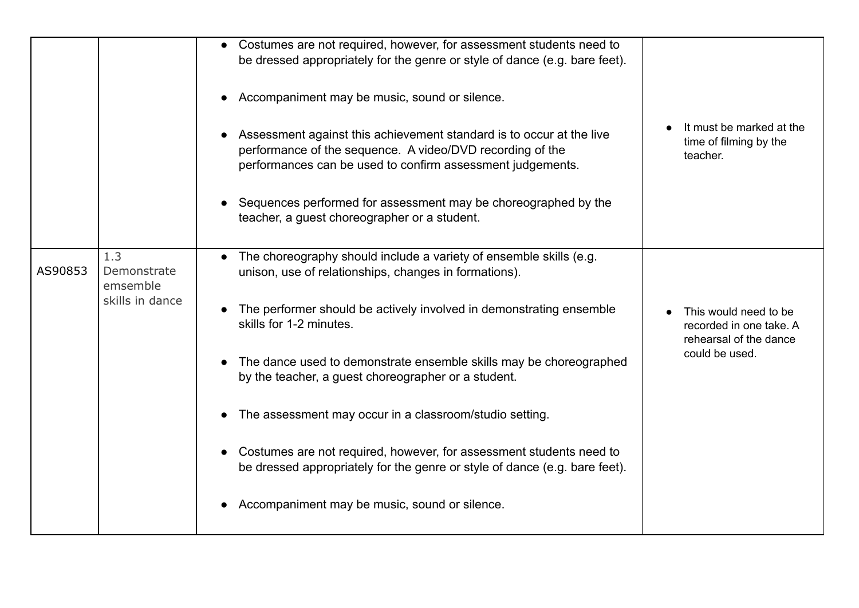|         |                 | Costumes are not required, however, for assessment students need to<br>$\bullet$ |                                    |
|---------|-----------------|----------------------------------------------------------------------------------|------------------------------------|
|         |                 | be dressed appropriately for the genre or style of dance (e.g. bare feet).       |                                    |
|         |                 |                                                                                  |                                    |
|         |                 | Accompaniment may be music, sound or silence.                                    |                                    |
|         |                 |                                                                                  |                                    |
|         |                 | Assessment against this achievement standard is to occur at the live             | It must be marked at the           |
|         |                 | performance of the sequence. A video/DVD recording of the                        | time of filming by the<br>teacher. |
|         |                 | performances can be used to confirm assessment judgements.                       |                                    |
|         |                 |                                                                                  |                                    |
|         |                 | Sequences performed for assessment may be choreographed by the                   |                                    |
|         |                 | teacher, a guest choreographer or a student.                                     |                                    |
|         |                 |                                                                                  |                                    |
|         | 1.3             | The choreography should include a variety of ensemble skills (e.g.               |                                    |
| AS90853 | Demonstrate     | unison, use of relationships, changes in formations).                            |                                    |
|         | emsemble        |                                                                                  |                                    |
|         | skills in dance | The performer should be actively involved in demonstrating ensemble              | This would need to be              |
|         |                 | skills for 1-2 minutes.                                                          | recorded in one take. A            |
|         |                 |                                                                                  | rehearsal of the dance             |
|         |                 | The dance used to demonstrate ensemble skills may be choreographed               | could be used.                     |
|         |                 | by the teacher, a guest choreographer or a student.                              |                                    |
|         |                 |                                                                                  |                                    |
|         |                 | The assessment may occur in a classroom/studio setting.                          |                                    |
|         |                 |                                                                                  |                                    |
|         |                 | Costumes are not required, however, for assessment students need to              |                                    |
|         |                 | be dressed appropriately for the genre or style of dance (e.g. bare feet).       |                                    |
|         |                 |                                                                                  |                                    |
|         |                 | Accompaniment may be music, sound or silence.                                    |                                    |
|         |                 |                                                                                  |                                    |
|         |                 |                                                                                  |                                    |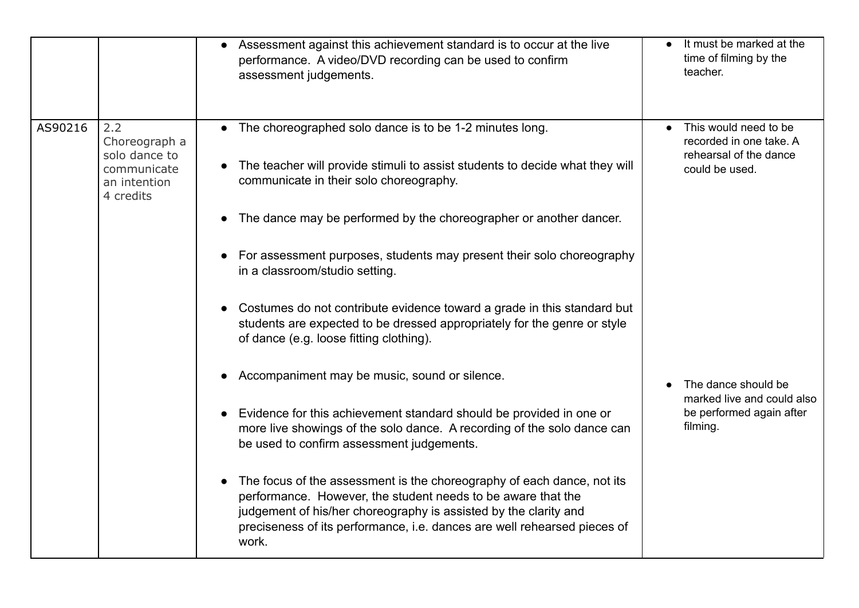|         |                                                                                   | Assessment against this achievement standard is to occur at the live<br>performance. A video/DVD recording can be used to confirm<br>assessment judgements.                                                                                                                                     | It must be marked at the<br>time of filming by the<br>teacher.                               |
|---------|-----------------------------------------------------------------------------------|-------------------------------------------------------------------------------------------------------------------------------------------------------------------------------------------------------------------------------------------------------------------------------------------------|----------------------------------------------------------------------------------------------|
| AS90216 | 2.2<br>Choreograph a<br>solo dance to<br>communicate<br>an intention<br>4 credits | The choreographed solo dance is to be 1-2 minutes long.<br>The teacher will provide stimuli to assist students to decide what they will<br>communicate in their solo choreography.<br>The dance may be performed by the choreographer or another dancer.                                        | This would need to be<br>recorded in one take. A<br>rehearsal of the dance<br>could be used. |
|         |                                                                                   | For assessment purposes, students may present their solo choreography<br>in a classroom/studio setting.                                                                                                                                                                                         |                                                                                              |
|         |                                                                                   | Costumes do not contribute evidence toward a grade in this standard but<br>students are expected to be dressed appropriately for the genre or style<br>of dance (e.g. loose fitting clothing).                                                                                                  |                                                                                              |
|         |                                                                                   | Accompaniment may be music, sound or silence.                                                                                                                                                                                                                                                   | The dance should be<br>marked live and could also                                            |
|         |                                                                                   | Evidence for this achievement standard should be provided in one or<br>more live showings of the solo dance. A recording of the solo dance can<br>be used to confirm assessment judgements.                                                                                                     | be performed again after<br>filming.                                                         |
|         |                                                                                   | The focus of the assessment is the choreography of each dance, not its<br>performance. However, the student needs to be aware that the<br>judgement of his/her choreography is assisted by the clarity and<br>preciseness of its performance, i.e. dances are well rehearsed pieces of<br>work. |                                                                                              |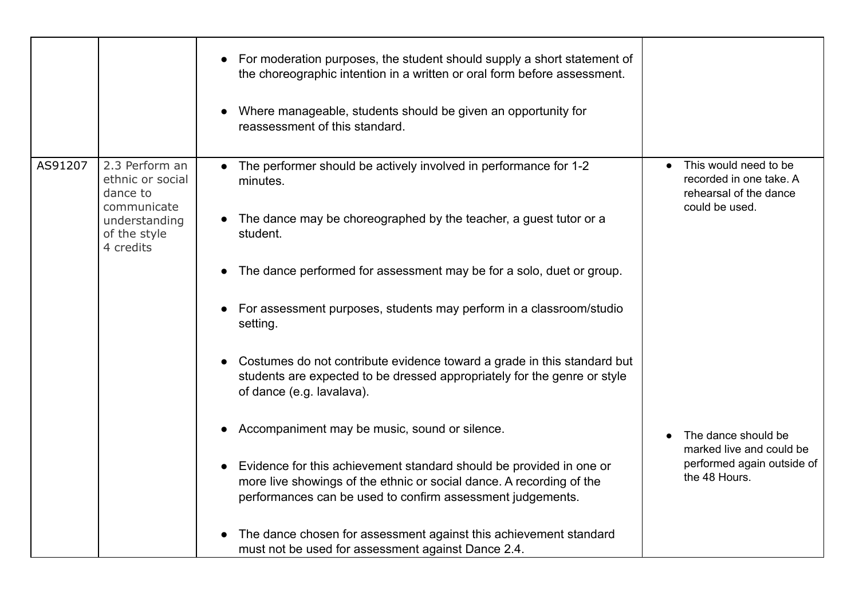|         |                                                                                | For moderation purposes, the student should supply a short statement of<br>the choreographic intention in a written or oral form before assessment.                                                       |                                                                                              |
|---------|--------------------------------------------------------------------------------|-----------------------------------------------------------------------------------------------------------------------------------------------------------------------------------------------------------|----------------------------------------------------------------------------------------------|
|         |                                                                                | Where manageable, students should be given an opportunity for<br>reassessment of this standard.                                                                                                           |                                                                                              |
| AS91207 | 2.3 Perform an<br>ethnic or social<br>dance to<br>communicate<br>understanding | The performer should be actively involved in performance for 1-2<br>minutes.<br>The dance may be choreographed by the teacher, a guest tutor or a                                                         | This would need to be<br>recorded in one take. A<br>rehearsal of the dance<br>could be used. |
|         | of the style<br>4 credits                                                      | student.<br>The dance performed for assessment may be for a solo, duet or group.                                                                                                                          |                                                                                              |
|         |                                                                                | For assessment purposes, students may perform in a classroom/studio<br>setting.                                                                                                                           |                                                                                              |
|         |                                                                                | Costumes do not contribute evidence toward a grade in this standard but<br>students are expected to be dressed appropriately for the genre or style<br>of dance (e.g. lavalava).                          |                                                                                              |
|         |                                                                                | Accompaniment may be music, sound or silence.                                                                                                                                                             | The dance should be<br>marked live and could be                                              |
|         |                                                                                | Evidence for this achievement standard should be provided in one or<br>more live showings of the ethnic or social dance. A recording of the<br>performances can be used to confirm assessment judgements. | performed again outside of<br>the 48 Hours.                                                  |
|         |                                                                                | The dance chosen for assessment against this achievement standard<br>must not be used for assessment against Dance 2.4.                                                                                   |                                                                                              |